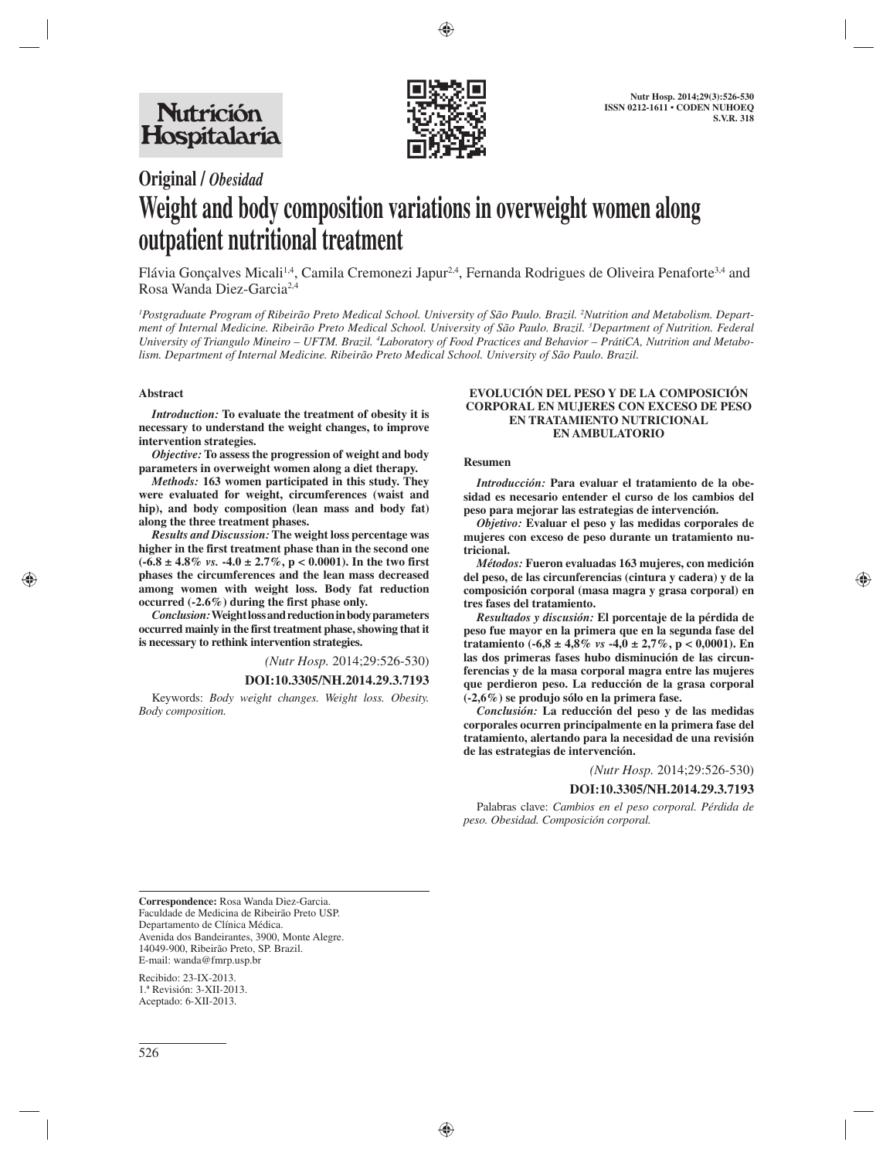

# **Original /** *Obesidad* **Weight and body composition variations in overweight women along outpatient nutritional treatment**

Flávia Gonçalves Micali<sup>1,4</sup>, Camila Cremonezi Japur<sup>2,4</sup>, Fernanda Rodrigues de Oliveira Penaforte<sup>3,4</sup> and Rosa Wanda Diez-Garcia2,4

*1 Postgraduate Program of Ribeirão Preto Medical School. University of São Paulo. Brazil. 2 Nutrition and Metabolism. Department of Internal Medicine. Ribeirão Preto Medical School. University of São Paulo. Brazil. 3 Department of Nutrition. Federal University of Triangulo Mineiro – UFTM. Brazil. 4 Laboratory of Food Practices and Behavior – PrátiCA, Nutrition and Metabolism. Department of Internal Medicine. Ribeirão Preto Medical School. University of São Paulo. Brazil.*

## **Abstract**

*Introduction:* **To evaluate the treatment of obesity it is necessary to understand the weight changes, to improve intervention strategies.** 

*Objective:* **To assess the progression of weight and body parameters in overweight women along a diet therapy.**

*Methods:* **163 women participated in this study. They were evaluated for weight, circumferences (waist and hip), and body composition (lean mass and body fat) along the three treatment phases.** 

*Results and Discussion:* **The weight loss percentage was higher in the first treatment phase than in the second one (-6.8 ± 4.8%** *vs.* **-4.0 ± 2.7%, p < 0.0001). In the two first phases the circumferences and the lean mass decreased among women with weight loss. Body fat reduction occurred (-2.6%) during the first phase only.** 

*Conclusion:* **Weight loss and reduction in body parameters occurred mainly in the first treatment phase, showing that it is necessary to rethink intervention strategies.**

*(Nutr Hosp.* 2014;29:526-530)

#### **DOI:10.3305/NH.2014.29.3.7193**

Keywords: *Body weight changes. Weight loss. Obesity. Body composition.*

#### **EVOLUCIÓN DEL PESO Y DE LA COMPOSICIÓN CORPORAL EN MUJERES CON EXCESO DE PESO EN TRATAMIENTO NUTRICIONAL EN AMBULATORIO**

#### **Resumen**

*Introducción:* **Para evaluar el tratamiento de la obesidad es necesario entender el curso de los cambios del peso para mejorar las estrategias de intervención.** 

*Objetivo:* **Evaluar el peso y las medidas corporales de mujeres con exceso de peso durante un tratamiento nutricional.** 

*Métodos:* **Fueron evaluadas 163 mujeres, con medición del peso, de las circunferencias (cintura y cadera) y de la composición corporal (masa magra y grasa corporal) en tres fases del tratamiento.** 

*Resultados y discusión:* **El porcentaje de la pérdida de peso fue mayor en la primera que en la segunda fase del tratamiento (-6,8 ± 4,8%** *vs* **-4,0 ± 2,7%, p < 0,0001). En las dos primeras fases hubo disminución de las circunferencias y de la masa corporal magra entre las mujeres que perdieron peso. La reducción de la grasa corporal (-2,6%) se produjo sólo en la primera fase.** 

*Conclusión:* **La reducción del peso y de las medidas corporales ocurren principalmente en la primera fase del tratamiento, alertando para la necesidad de una revisión de las estrategias de intervención.**

*(Nutr Hosp.* 2014;29:526-530)

#### **DOI:10.3305/NH.2014.29.3.7193**

Palabras clave: *Cambios en el peso corporal. Pérdida de peso. Obesidad. Composición corporal.*

 **Correspondence:** Rosa Wanda Diez-Garcia. Faculdade de Medicina de Ribeirão Preto USP. Departamento de Clínica Médica. Avenida dos Bandeirantes, 3900, Monte Alegre. 14049-900, Ribeirão Preto, SP. Brazil. E-mail: wanda@fmrp.usp.br

Recibido: 23-IX-2013. 1.ª Revisión: 3-XII-2013. Aceptado: 6-XII-2013.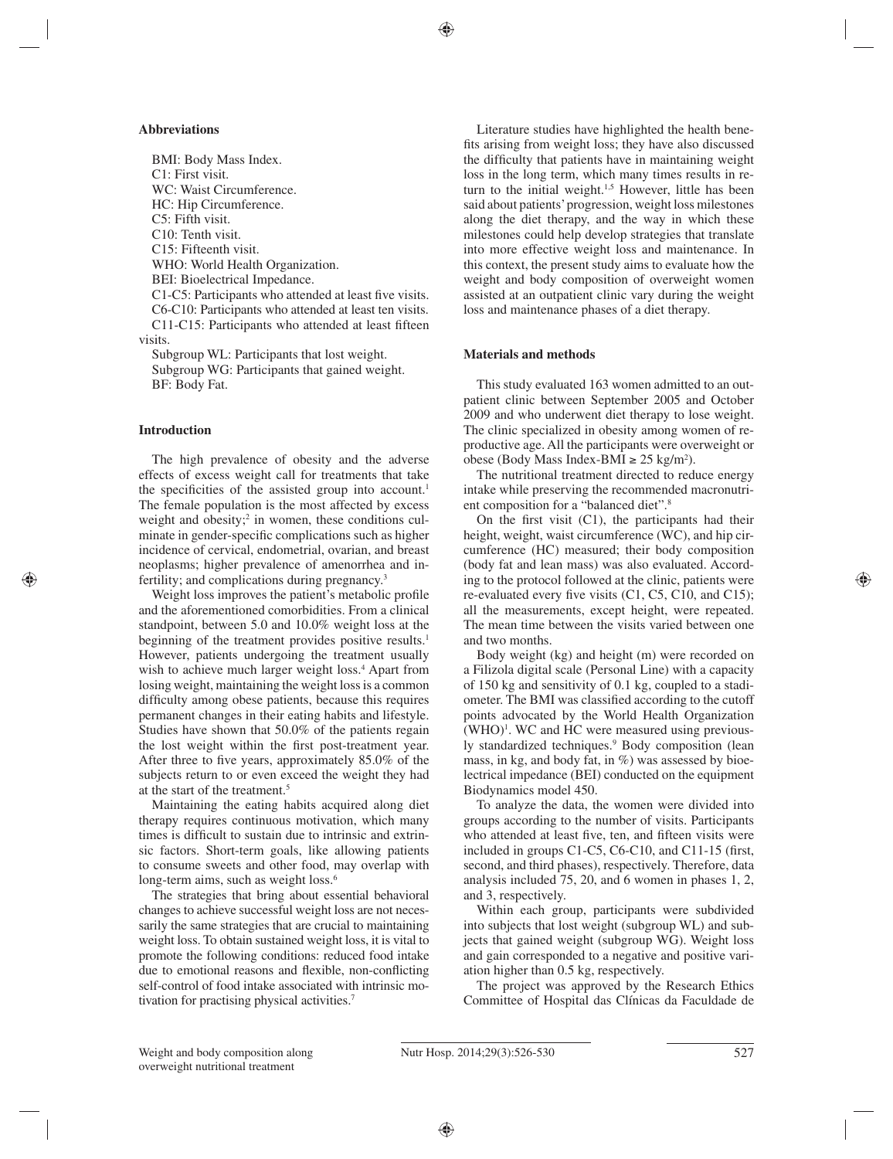# **Abbreviations**

BMI: Body Mass Index. C1: First visit. WC: Waist Circumference. HC: Hip Circumference. C5: Fifth visit. C10: Tenth visit. C15: Fifteenth visit. WHO: World Health Organization. BEI: Bioelectrical Impedance. C1-C5: Participants who attended at least five visits. C6-C10: Participants who attended at least ten visits. C11-C15: Participants who attended at least fifteen visits.

Subgroup WL: Participants that lost weight. Subgroup WG: Participants that gained weight. BF: Body Fat.

# **Introduction**

The high prevalence of obesity and the adverse effects of excess weight call for treatments that take the specificities of the assisted group into account.<sup>1</sup> The female population is the most affected by excess weight and obesity;<sup>2</sup> in women, these conditions culminate in gender-specific complications such as higher incidence of cervical, endometrial, ovarian, and breast neoplasms; higher prevalence of amenorrhea and infertility; and complications during pregnancy.3

Weight loss improves the patient's metabolic profile and the aforementioned comorbidities. From a clinical standpoint, between 5.0 and 10.0% weight loss at the beginning of the treatment provides positive results.<sup>1</sup> However, patients undergoing the treatment usually wish to achieve much larger weight loss.<sup>4</sup> Apart from losing weight, maintaining the weight loss is a common difficulty among obese patients, because this requires permanent changes in their eating habits and lifestyle. Studies have shown that 50.0% of the patients regain the lost weight within the first post-treatment year. After three to five years, approximately  $85.0\%$  of the subjects return to or even exceed the weight they had at the start of the treatment.5

Maintaining the eating habits acquired along diet therapy requires continuous motivation, which many times is difficult to sustain due to intrinsic and extrinsic factors. Short-term goals, like allowing patients to consume sweets and other food, may overlap with long-term aims, such as weight loss.<sup>6</sup>

The strategies that bring about essential behavioral changes to achieve successful weight loss are not necessarily the same strategies that are crucial to maintaining weight loss. To obtain sustained weight loss, it is vital to promote the following conditions: reduced food intake due to emotional reasons and flexible, non-conflicting self-control of food intake associated with intrinsic motivation for practising physical activities.7

Literature studies have highlighted the health benefits arising from weight loss; they have also discussed the difficulty that patients have in maintaining weight loss in the long term, which many times results in return to the initial weight.<sup>1,5</sup> However, little has been said about patients' progression, weight loss milestones along the diet therapy, and the way in which these milestones could help develop strategies that translate into more effective weight loss and maintenance. In this context, the present study aims to evaluate how the weight and body composition of overweight women assisted at an outpatient clinic vary during the weight loss and maintenance phases of a diet therapy.

## **Materials and methods**

This study evaluated 163 women admitted to an outpatient clinic between September 2005 and October 2009 and who underwent diet therapy to lose weight. The clinic specialized in obesity among women of reproductive age. All the participants were overweight or obese (Body Mass Index-BMI ≥ 25 kg/m<sup>2</sup>).

The nutritional treatment directed to reduce energy intake while preserving the recommended macronutrient composition for a "balanced diet".8

On the first visit  $(C1)$ , the participants had their height, weight, waist circumference (WC), and hip circumference (HC) measured; their body composition (body fat and lean mass) was also evaluated. According to the protocol followed at the clinic, patients were re-evaluated every five visits  $(C1, C5, C10, and C15)$ ; all the measurements, except height, were repeated. The mean time between the visits varied between one and two months.

Body weight (kg) and height (m) were recorded on a Filizola digital scale (Personal Line) with a capacity of 150 kg and sensitivity of 0.1 kg, coupled to a stadiometer. The BMI was classified according to the cutoff points advocated by the World Health Organization  $(WHO)^{1}$ . WC and HC were measured using previously standardized techniques.<sup>9</sup> Body composition (lean mass, in kg, and body fat, in %) was assessed by bioelectrical impedance (BEI) conducted on the equipment Biodynamics model 450.

To analyze the data, the women were divided into groups according to the number of visits. Participants who attended at least five, ten, and fifteen visits were included in groups C1-C5, C6-C10, and C11-15 (first, second, and third phases), respectively. Therefore, data analysis included 75, 20, and 6 women in phases 1, 2, and 3, respectively.

Within each group, participants were subdivided into subjects that lost weight (subgroup WL) and subjects that gained weight (subgroup WG). Weight loss and gain corresponded to a negative and positive variation higher than 0.5 kg, respectively.

The project was approved by the Research Ethics Committee of Hospital das Clínicas da Faculdade de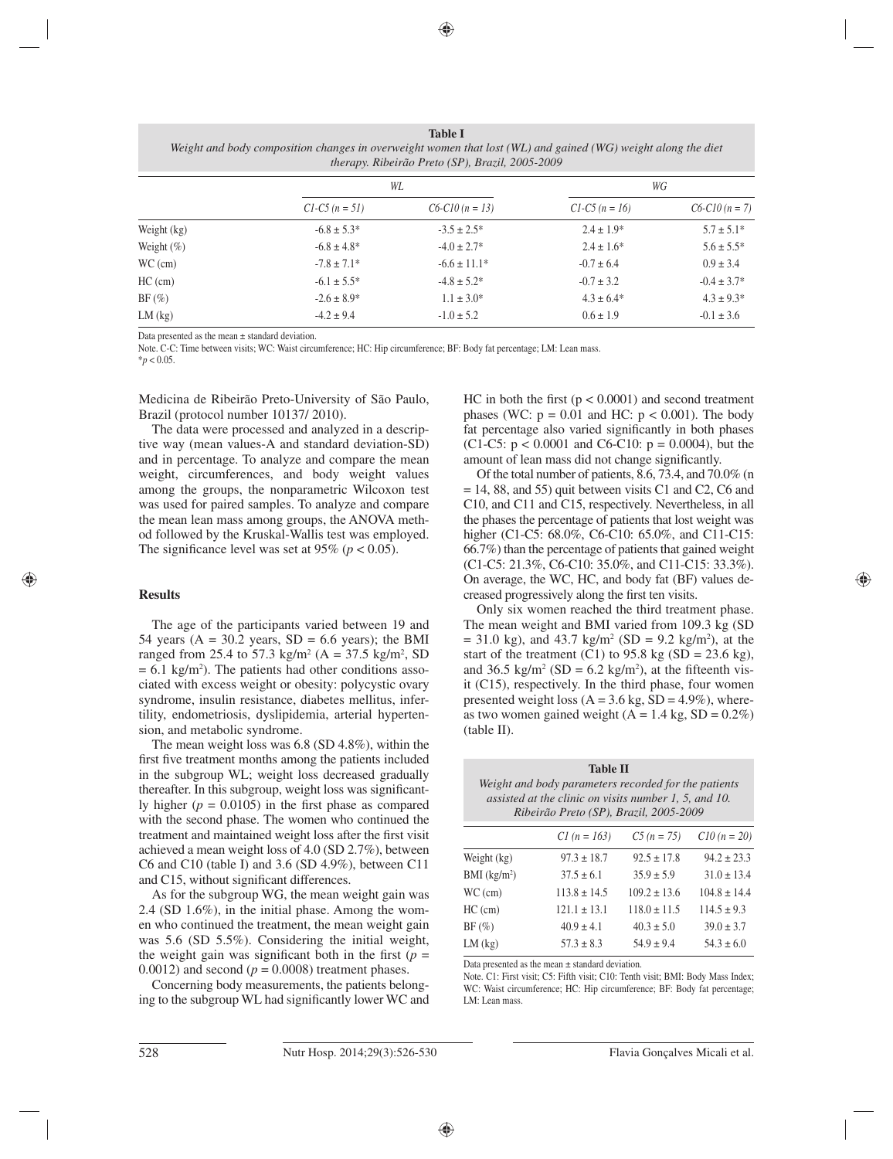**Table I** *Weight and body composition changes in overweight women that lost (WL) and gained (WG) weight along the diet therapy. Ribeirão Preto (SP), Brazil, 2005-2009*

|               | WL                |                   | WG                |                  |
|---------------|-------------------|-------------------|-------------------|------------------|
|               | $CI$ -C5 (n = 51) | $C6-C10 (n = 13)$ | $CI$ -C5 (n = 16) | $C6-C10(n=7)$    |
| Weight (kg)   | $-6.8 \pm 5.3^*$  | $-3.5 \pm 2.5^*$  | $2.4 \pm 1.9*$    | $5.7 \pm 5.1*$   |
| Weight $(\%)$ | $-6.8 \pm 4.8^*$  | $-4.0 \pm 2.7^*$  | $2.4 \pm 1.6^*$   | $5.6 \pm 5.5^*$  |
| $WC$ (cm)     | $-7.8 \pm 7.1*$   | $-6.6 \pm 11.1*$  | $-0.7 \pm 6.4$    | $0.9 \pm 3.4$    |
| $HC$ (cm)     | $-6.1 \pm 5.5^*$  | $-4.8 \pm 5.2^*$  | $-0.7 \pm 3.2$    | $-0.4 \pm 3.7^*$ |
| $BF$ (%)      | $-2.6 \pm 8.9^*$  | $1.1 \pm 3.0^*$   | $4.3 \pm 6.4*$    | $4.3 \pm 9.3^*$  |
| $LM$ (kg)     | $-4.2 \pm 9.4$    | $-1.0 \pm 5.2$    | $0.6 \pm 1.9$     | $-0.1 \pm 3.6$   |

Data presented as the mean  $\pm$  standard deviation.

Note. C-C: Time between visits; WC: Waist circumference; HC: Hip circumference; BF: Body fat percentage; LM: Lean mass.

 $*$ *p* < 0.05.

Medicina de Ribeirão Preto-University of São Paulo, Brazil (protocol number 10137/ 2010).

The data were processed and analyzed in a descriptive way (mean values-A and standard deviation-SD) and in percentage. To analyze and compare the mean weight, circumferences, and body weight values among the groups, the nonparametric Wilcoxon test was used for paired samples. To analyze and compare the mean lean mass among groups, the ANOVA method followed by the Kruskal-Wallis test was employed. The significance level was set at 95% ( $p < 0.05$ ).

# **Results**

The age of the participants varied between 19 and 54 years ( $A = 30.2$  years,  $SD = 6.6$  years); the BMI ranged from 25.4 to 57.3 kg/m<sup>2</sup> (A = 37.5 kg/m<sup>2</sup>, SD  $= 6.1 \text{ kg/m}^2$ ). The patients had other conditions associated with excess weight or obesity: polycystic ovary syndrome, insulin resistance, diabetes mellitus, infertility, endometriosis, dyslipidemia, arterial hypertension, and metabolic syndrome.

The mean weight loss was 6.8 (SD 4.8%), within the first five treatment months among the patients included in the subgroup WL; weight loss decreased gradually thereafter. In this subgroup, weight loss was significantly higher  $(p = 0.0105)$  in the first phase as compared with the second phase. The women who continued the treatment and maintained weight loss after the first visit achieved a mean weight loss of 4.0 (SD 2.7%), between C6 and C10 (table I) and 3.6 (SD 4.9%), between C11 and C15, without significant differences.

As for the subgroup WG, the mean weight gain was 2.4 (SD 1.6%), in the initial phase. Among the women who continued the treatment, the mean weight gain was 5.6 (SD 5.5%). Considering the initial weight, the weight gain was significant both in the first  $(p =$ 0.0012) and second  $(p = 0.0008)$  treatment phases.

Concerning body measurements, the patients belonging to the subgroup WL had significantly lower WC and HC in both the first  $(p < 0.0001)$  and second treatment phases (WC:  $p = 0.01$  and HC:  $p < 0.001$ ). The body fat percentage also varied significantly in both phases (C1-C5:  $p < 0.0001$  and C6-C10:  $p = 0.0004$ ), but the amount of lean mass did not change significantly.

Of the total number of patients, 8.6, 73.4, and 70.0% (n  $= 14, 88,$  and 55) quit between visits C1 and C2, C6 and C10, and C11 and C15, respectively. Nevertheless, in all the phases the percentage of patients that lost weight was higher (C1-C5: 68.0%, C6-C10: 65.0%, and C11-C15: 66.7%) than the percentage of patients that gained weight (C1-C5: 21.3%, C6-C10: 35.0%, and C11-C15: 33.3%). On average, the WC, HC, and body fat (BF) values decreased progressively along the first ten visits.

Only six women reached the third treatment phase. The mean weight and BMI varied from 109.3 kg (SD  $= 31.0 \text{ kg}$ , and 43.7 kg/m<sup>2</sup> (SD = 9.2 kg/m<sup>2</sup>), at the start of the treatment (C1) to 95.8 kg (SD = 23.6 kg), and 36.5 kg/m<sup>2</sup> (SD = 6.2 kg/m<sup>2</sup>), at the fifteenth visit (C15), respectively. In the third phase, four women presented weight loss  $(A = 3.6 \text{ kg}, SD = 4.9\%)$ , whereas two women gained weight  $(A = 1.4 \text{ kg}, SD = 0.2\%)$ (table II).

| <b>Table II</b><br>Weight and body parameters recorded for the patients<br>assisted at the clinic on visits number 1, 5, and 10.<br>Ribeirão Preto (SP), Brazil, 2005-2009 |                  |                  |                 |  |  |
|----------------------------------------------------------------------------------------------------------------------------------------------------------------------------|------------------|------------------|-----------------|--|--|
|                                                                                                                                                                            | $CI (n = 163)$   | $C5 (n = 75)$    | $C10 (n = 20)$  |  |  |
| Weight (kg)                                                                                                                                                                | $97.3 \pm 18.7$  | $92.5 \pm 17.8$  | $94.2 \pm 23.3$ |  |  |
| $BMI$ (kg/m <sup>2</sup> )                                                                                                                                                 | $37.5 \pm 6.1$   | $35.9 \pm 5.9$   | $31.0 \pm 13.4$ |  |  |
| $WC$ (cm)                                                                                                                                                                  | $113.8 \pm 14.5$ | $109.2 \pm 13.6$ | $104.8 + 14.4$  |  |  |
| $HC$ (cm)                                                                                                                                                                  | $121.1 \pm 13.1$ | $118.0 \pm 11.5$ | $114.5 \pm 9.3$ |  |  |
| $BF(\%)$                                                                                                                                                                   | $40.9 \pm 4.1$   | $40.3 \pm 5.0$   | $39.0 \pm 3.7$  |  |  |
| $LM$ (kg)                                                                                                                                                                  | $57.3 \pm 8.3$   | $54.9 \pm 9.4$   | $54.3 \pm 6.0$  |  |  |

Data presented as the mean ± standard deviation.

Note. C1: First visit; C5: Fifth visit; C10: Tenth visit; BMI: Body Mass Index; WC: Waist circumference; HC: Hip circumference; BF: Body fat percentage; LM: Lean mass.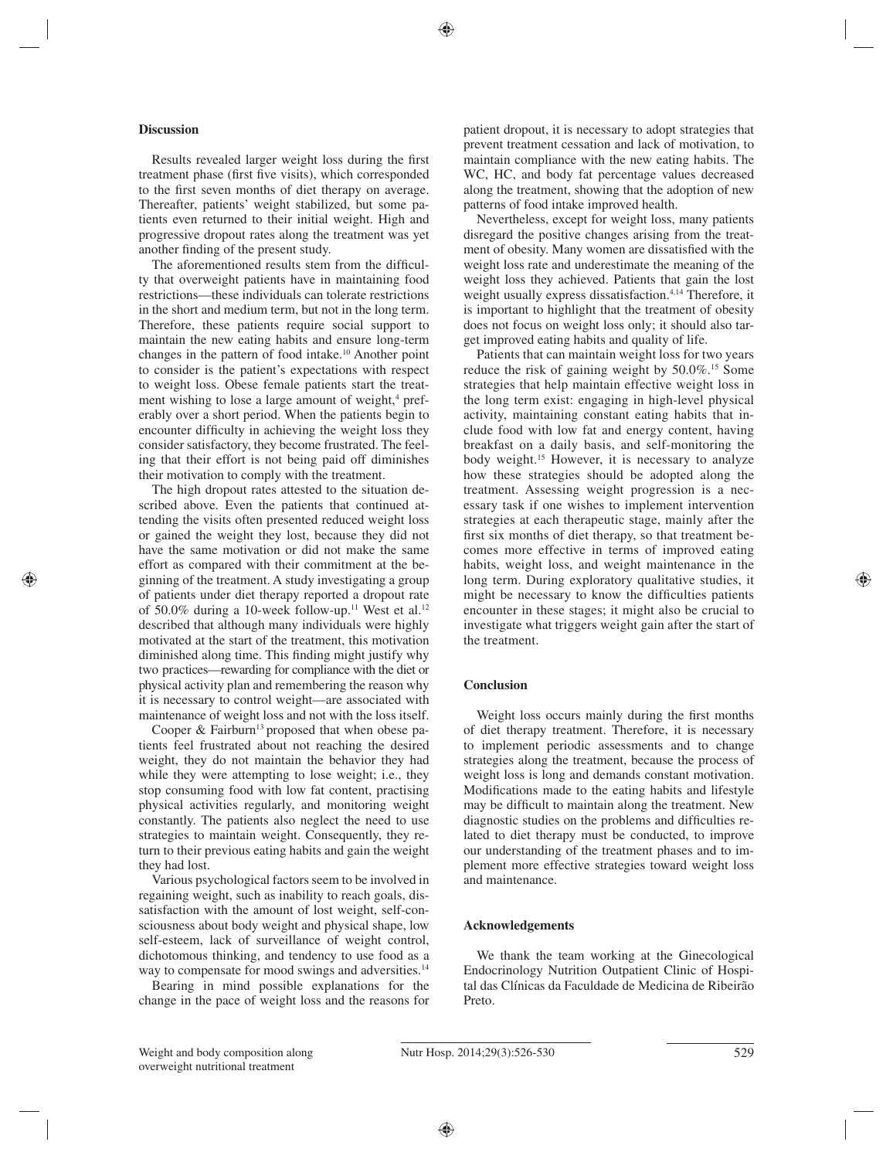## **Discussion**

Results revealed larger weight loss during the first treatment phase (first five visits), which corresponded to the first seven months of diet therapy on average. Thereafter, patients' weight stabilized, but some patients even returned to their initial weight. High and progressive dropout rates along the treatment was yet another finding of the present study.

The aforementioned results stem from the difficulty that overweight patients have in maintaining food restrictions—these individuals can tolerate restrictions in the short and medium term, but not in the long term. Therefore, these patients require social support to maintain the new eating habits and ensure long-term changes in the pattern of food intake.10 Another point to consider is the patient's expectations with respect to weight loss. Obese female patients start the treatment wishing to lose a large amount of weight,<sup>4</sup> preferably over a short period. When the patients begin to encounter difficulty in achieving the weight loss they consider satisfactory, they become frustrated. The feeling that their effort is not being paid off diminishes their motivation to comply with the treatment.

The high dropout rates attested to the situation described above. Even the patients that continued attending the visits often presented reduced weight loss or gained the weight they lost, because they did not have the same motivation or did not make the same effort as compared with their commitment at the beginning of the treatment. A study investigating a group of patients under diet therapy reported a dropout rate of 50.0% during a 10-week follow-up.<sup>11</sup> West et al.<sup>12</sup> described that although many individuals were highly motivated at the start of the treatment, this motivation diminished along time. This finding might justify why two practices—rewarding for compliance with the diet or physical activity plan and remembering the reason why it is necessary to control weight—are associated with maintenance of weight loss and not with the loss itself.

Cooper  $\&$  Fairburn<sup>13</sup> proposed that when obese patients feel frustrated about not reaching the desired weight, they do not maintain the behavior they had while they were attempting to lose weight; i.e., they stop consuming food with low fat content, practising physical activities regularly, and monitoring weight constantly. The patients also neglect the need to use strategies to maintain weight. Consequently, they return to their previous eating habits and gain the weight they had lost.

Various psychological factors seem to be involved in regaining weight, such as inability to reach goals, dissatisfaction with the amount of lost weight, self-consciousness about body weight and physical shape, low self-esteem, lack of surveillance of weight control, dichotomous thinking, and tendency to use food as a way to compensate for mood swings and adversities.<sup>14</sup>

Bearing in mind possible explanations for the change in the pace of weight loss and the reasons for patient dropout, it is necessary to adopt strategies that prevent treatment cessation and lack of motivation, to maintain compliance with the new eating habits. The WC, HC, and body fat percentage values decreased along the treatment, showing that the adoption of new patterns of food intake improved health.

Nevertheless, except for weight loss, many patients disregard the positive changes arising from the treatment of obesity. Many women are dissatisfied with the weight loss rate and underestimate the meaning of the weight loss they achieved. Patients that gain the lost weight usually express dissatisfaction.<sup>4,14</sup> Therefore, it is important to highlight that the treatment of obesity does not focus on weight loss only; it should also target improved eating habits and quality of life.

Patients that can maintain weight loss for two years reduce the risk of gaining weight by 50.0%.15 Some strategies that help maintain effective weight loss in the long term exist: engaging in high-level physical activity, maintaining constant eating habits that include food with low fat and energy content, having breakfast on a daily basis, and self-monitoring the body weight.<sup>15</sup> However, it is necessary to analyze how these strategies should be adopted along the treatment. Assessing weight progression is a necessary task if one wishes to implement intervention strategies at each therapeutic stage, mainly after the first six months of diet therapy, so that treatment becomes more effective in terms of improved eating habits, weight loss, and weight maintenance in the long term. During exploratory qualitative studies, it might be necessary to know the difficulties patients encounter in these stages; it might also be crucial to investigate what triggers weight gain after the start of the treatment.

# **Conclusion**

Weight loss occurs mainly during the first months of diet therapy treatment. Therefore, it is necessary to implement periodic assessments and to change strategies along the treatment, because the process of weight loss is long and demands constant motivation. Modifications made to the eating habits and lifestyle may be difficult to maintain along the treatment. New diagnostic studies on the problems and difficulties related to diet therapy must be conducted, to improve our understanding of the treatment phases and to implement more effective strategies toward weight loss and maintenance.

# **Acknowledgements**

We thank the team working at the Ginecological Endocrinology Nutrition Outpatient Clinic of Hospital das Clínicas da Faculdade de Medicina de Ribeirão Preto.